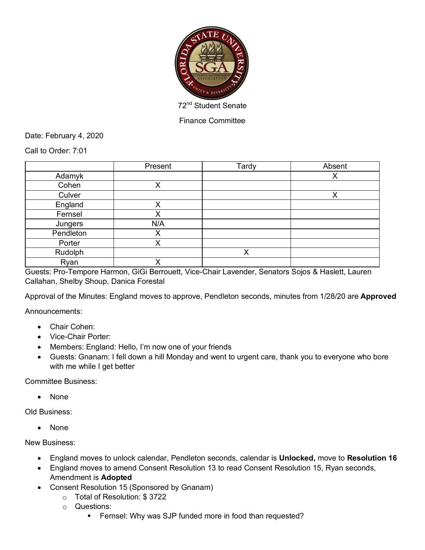

Finance Committee

Date: February 4, 2020

Call to Order: 7:01

|           | Present | Tardy | Absent |
|-----------|---------|-------|--------|
| Adamyk    |         |       | х      |
| Cohen     | Χ       |       |        |
| Culver    |         |       | v      |
| England   | Χ       |       |        |
| Fernsel   | Χ       |       |        |
| Jungers   | N/A     |       |        |
| Pendleton | Χ       |       |        |
| Porter    | ✓<br>∧  |       |        |
| Rudolph   |         | X     |        |
| Ryan      | v       |       |        |

Guests: Pro-Tempore Harmon, GiGi Berrouett, Vice-Chair Lavender, Senators Sojos & Haslett, Lauren Callahan, Shelby Shoup, Danica Forestal

Approval of the Minutes: England moves to approve, Pendleton seconds, minutes from 1/28/20 are **Approved**

Announcements:

- Chair Cohen:
- Vice-Chair Porter:
- Members: England: Hello, I'm now one of your friends
- Guests: Gnanam: I fell down a hill Monday and went to urgent care, thank you to everyone who bore with me while I get better

Committee Business:

• None

Old Business:

• None

New Business:

- England moves to unlock calendar, Pendleton seconds, calendar is **Unlocked,** move to **Resolution 16**
- England moves to amend Consent Resolution 13 to read Consent Resolution 15, Ryan seconds, Amendment is **Adopted**
- Consent Resolution 15 (Sponsored by Gnanam)
	- o Total of Resolution: \$ 3722
	- o Questions:
		- **•** Fernsel: Why was SJP funded more in food than requested?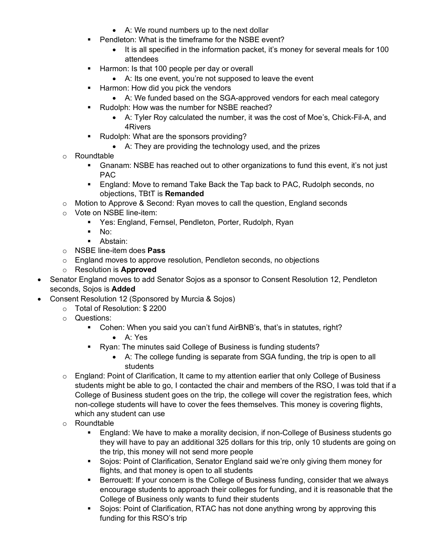- A: We round numbers up to the next dollar
- Pendleton: What is the timeframe for the NSBE event?
	- It is all specified in the information packet, it's money for several meals for 100 attendees
- **E** Harmon: Is that 100 people per day or overall
	- A: Its one event, you're not supposed to leave the event
- **EXTERGH** Harmon: How did you pick the vendors
	- A: We funded based on the SGA-approved vendors for each meal category
- Rudolph: How was the number for NSBE reached?
	- A: Tyler Roy calculated the number, it was the cost of Moe's, Chick-Fil-A, and 4Rivers
- Rudolph: What are the sponsors providing?
	- A: They are providing the technology used, and the prizes
- o Roundtable
	- Gnanam: NSBE has reached out to other organizations to fund this event, it's not just PAC
	- England: Move to remand Take Back the Tap back to PAC, Rudolph seconds, no objections, TBtT is **Remanded**
- o Motion to Approve & Second: Ryan moves to call the question, England seconds
- o Vote on NSBE line-item:
	- Yes: England, Fernsel, Pendleton, Porter, Rudolph, Ryan
	- $\blacksquare$  No:
	- Abstain:
- o NSBE line-item does **Pass**
- o England moves to approve resolution, Pendleton seconds, no objections
- o Resolution is **Approved**
- Senator England moves to add Senator Sojos as a sponsor to Consent Resolution 12, Pendleton seconds, Sojos is **Added**
- Consent Resolution 12 (Sponsored by Murcia & Sojos)
	- o Total of Resolution: \$ 2200
		- o Questions:
			- § Cohen: When you said you can't fund AirBNB's, that's in statutes, right?
				- A: Yes
			- Ryan: The minutes said College of Business is funding students?
				- A: The college funding is separate from SGA funding, the trip is open to all students
		- o England: Point of Clarification, It came to my attention earlier that only College of Business students might be able to go, I contacted the chair and members of the RSO, I was told that if a College of Business student goes on the trip, the college will cover the registration fees, which non-college students will have to cover the fees themselves. This money is covering flights, which any student can use
		- o Roundtable
			- § England: We have to make a morality decision, if non-College of Business students go they will have to pay an additional 325 dollars for this trip, only 10 students are going on the trip, this money will not send more people
			- Sojos: Point of Clarification, Senator England said we're only giving them money for flights, and that money is open to all students
			- Berrouett: If your concern is the College of Business funding, consider that we always encourage students to approach their colleges for funding, and it is reasonable that the College of Business only wants to fund their students
			- Sojos: Point of Clarification, RTAC has not done anything wrong by approving this funding for this RSO's trip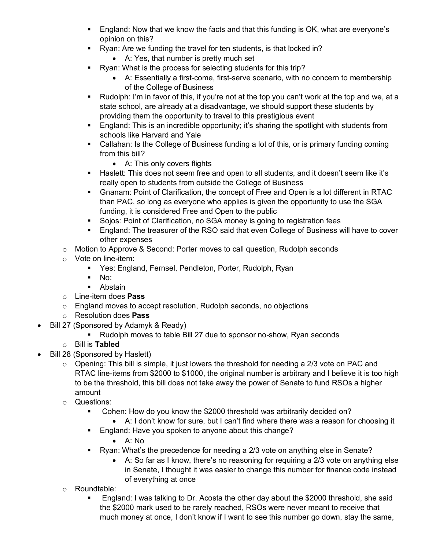- England: Now that we know the facts and that this funding is OK, what are everyone's opinion on this?
- **•** Ryan: Are we funding the travel for ten students, is that locked in?
	- A: Yes, that number is pretty much set
- § Ryan: What is the process for selecting students for this trip?
	- A: Essentially a first-come, first-serve scenario, with no concern to membership of the College of Business
- Rudolph: I'm in favor of this, if you're not at the top you can't work at the top and we, at a state school, are already at a disadvantage, we should support these students by providing them the opportunity to travel to this prestigious event
- England: This is an incredible opportunity; it's sharing the spotlight with students from schools like Harvard and Yale
- Callahan: Is the College of Business funding a lot of this, or is primary funding coming from this bill?
	- A: This only covers flights
- § Haslett: This does not seem free and open to all students, and it doesn't seem like it's really open to students from outside the College of Business
- § Gnanam: Point of Clarification, the concept of Free and Open is a lot different in RTAC than PAC, so long as everyone who applies is given the opportunity to use the SGA funding, it is considered Free and Open to the public
- Sojos: Point of Clarification, no SGA money is going to registration fees
- England: The treasurer of the RSO said that even College of Business will have to cover other expenses
- o Motion to Approve & Second: Porter moves to call question, Rudolph seconds
- o Vote on line-item:
	- Yes: England, Fernsel, Pendleton, Porter, Rudolph, Ryan
	- $\blacksquare$  No:
	- Abstain
- o Line-item does **Pass**
- o England moves to accept resolution, Rudolph seconds, no objections
- o Resolution does **Pass**
- Bill 27 (Sponsored by Adamyk & Ready)
	- Rudolph moves to table Bill 27 due to sponsor no-show, Ryan seconds
	- o Bill is **Tabled**
- Bill 28 (Sponsored by Haslett)
	- $\circ$  Opening: This bill is simple, it just lowers the threshold for needing a 2/3 vote on PAC and RTAC line-items from \$2000 to \$1000, the original number is arbitrary and I believe it is too high to be the threshold, this bill does not take away the power of Senate to fund RSOs a higher amount
	- o Questions:
		- § Cohen: How do you know the \$2000 threshold was arbitrarily decided on?
			- A: I don't know for sure, but I can't find where there was a reason for choosing it
		- England: Have you spoken to anyone about this change?
			- A: No
		- Ryan: What's the precedence for needing a 2/3 vote on anything else in Senate?
			- A: So far as I know, there's no reasoning for requiring a 2/3 vote on anything else in Senate, I thought it was easier to change this number for finance code instead of everything at once
	- o Roundtable:
		- England: I was talking to Dr. Acosta the other day about the \$2000 threshold, she said the \$2000 mark used to be rarely reached, RSOs were never meant to receive that much money at once, I don't know if I want to see this number go down, stay the same,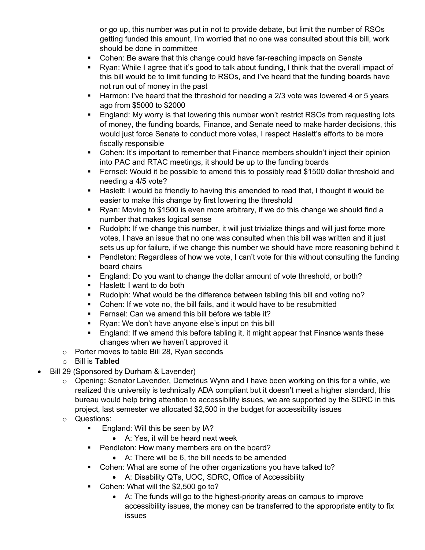or go up, this number was put in not to provide debate, but limit the number of RSOs getting funded this amount, I'm worried that no one was consulted about this bill, work should be done in committee

- § Cohen: Be aware that this change could have far-reaching impacts on Senate
- Ryan: While I agree that it's good to talk about funding, I think that the overall impact of this bill would be to limit funding to RSOs, and I've heard that the funding boards have not run out of money in the past
- Harmon: I've heard that the threshold for needing a 2/3 vote was lowered 4 or 5 years ago from \$5000 to \$2000
- England: My worry is that lowering this number won't restrict RSOs from requesting lots of money, the funding boards, Finance, and Senate need to make harder decisions, this would just force Senate to conduct more votes, I respect Haslett's efforts to be more fiscally responsible
- Cohen: It's important to remember that Finance members shouldn't inject their opinion into PAC and RTAC meetings, it should be up to the funding boards
- Fernsel: Would it be possible to amend this to possibly read \$1500 dollar threshold and needing a 4/5 vote?
- § Haslett: I would be friendly to having this amended to read that, I thought it would be easier to make this change by first lowering the threshold
- § Ryan: Moving to \$1500 is even more arbitrary, if we do this change we should find a number that makes logical sense
- Rudolph: If we change this number, it will just trivialize things and will just force more votes, I have an issue that no one was consulted when this bill was written and it just sets us up for failure, if we change this number we should have more reasoning behind it
- Pendleton: Regardless of how we vote, I can't vote for this without consulting the funding board chairs
- England: Do you want to change the dollar amount of vote threshold, or both?
- Haslett: I want to do both
- § Rudolph: What would be the difference between tabling this bill and voting no?
- Cohen: If we vote no, the bill fails, and it would have to be resubmitted
- **•** Fernsel: Can we amend this bill before we table it?
- Ryan: We don't have anyone else's input on this bill
- England: If we amend this before tabling it, it might appear that Finance wants these changes when we haven't approved it
- o Porter moves to table Bill 28, Ryan seconds
- o Bill is **Tabled**
- Bill 29 (Sponsored by Durham & Lavender)
	- o Opening: Senator Lavender, Demetrius Wynn and I have been working on this for a while, we realized this university is technically ADA compliant but it doesn't meet a higher standard, this bureau would help bring attention to accessibility issues, we are supported by the SDRC in this project, last semester we allocated \$2,500 in the budget for accessibility issues
	- o Questions:
		- England: Will this be seen by IA?
			- A: Yes, it will be heard next week
		- Pendleton: How many members are on the board?
			- A: There will be 6, the bill needs to be amended
		- Cohen: What are some of the other organizations you have talked to?
			- A: Disability QTs, UOC, SDRC, Office of Accessibility
		- Cohen: What will the \$2,500 go to?
			- A: The funds will go to the highest-priority areas on campus to improve accessibility issues, the money can be transferred to the appropriate entity to fix issues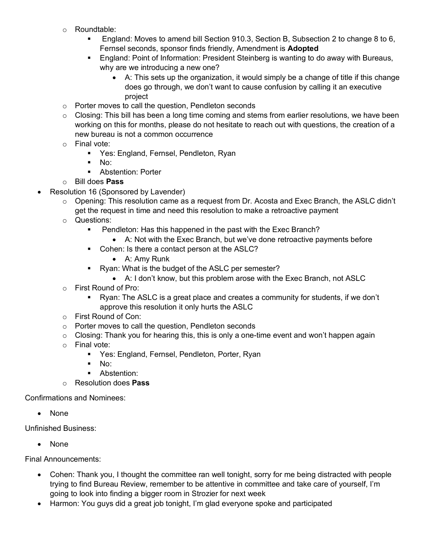- o Roundtable:
	- § England: Moves to amend bill Section 910.3, Section B, Subsection 2 to change 8 to 6, Fernsel seconds, sponsor finds friendly, Amendment is **Adopted**
	- § England: Point of Information: President Steinberg is wanting to do away with Bureaus, why are we introducing a new one?
		- A: This sets up the organization, it would simply be a change of title if this change does go through, we don't want to cause confusion by calling it an executive project
- o Porter moves to call the question, Pendleton seconds
- $\circ$  Closing: This bill has been a long time coming and stems from earlier resolutions, we have been working on this for months, please do not hesitate to reach out with questions, the creation of a new bureau is not a common occurrence
- o Final vote:
	- Yes: England, Fernsel, Pendleton, Ryan
	- § No:
	- **•** Abstention: Porter
- o Bill does **Pass**
- Resolution 16 (Sponsored by Lavender)
	- o Opening: This resolution came as a request from Dr. Acosta and Exec Branch, the ASLC didn't get the request in time and need this resolution to make a retroactive payment
	- o Questions:
		- Pendleton: Has this happened in the past with the Exec Branch?
		- A: Not with the Exec Branch, but we've done retroactive payments before
		- Cohen: Is there a contact person at the ASLC?
			- A: Amy Runk
		- Ryan: What is the budget of the ASLC per semester?
			- A: I don't know, but this problem arose with the Exec Branch, not ASLC
	- o First Round of Pro:
		- Ryan: The ASLC is a great place and creates a community for students, if we don't approve this resolution it only hurts the ASLC
	- o First Round of Con:
	- o Porter moves to call the question, Pendleton seconds
	- $\circ$  Closing: Thank you for hearing this, this is only a one-time event and won't happen again
	- o Final vote:
		- Yes: England, Fernsel, Pendleton, Porter, Ryan
		- $\blacksquare$  No:
		- Abstention:
	- o Resolution does **Pass**

Confirmations and Nominees:

• None

Unfinished Business:

• None

Final Announcements:

- Cohen: Thank you, I thought the committee ran well tonight, sorry for me being distracted with people trying to find Bureau Review, remember to be attentive in committee and take care of yourself, I'm going to look into finding a bigger room in Strozier for next week
- Harmon: You guys did a great job tonight, I'm glad everyone spoke and participated